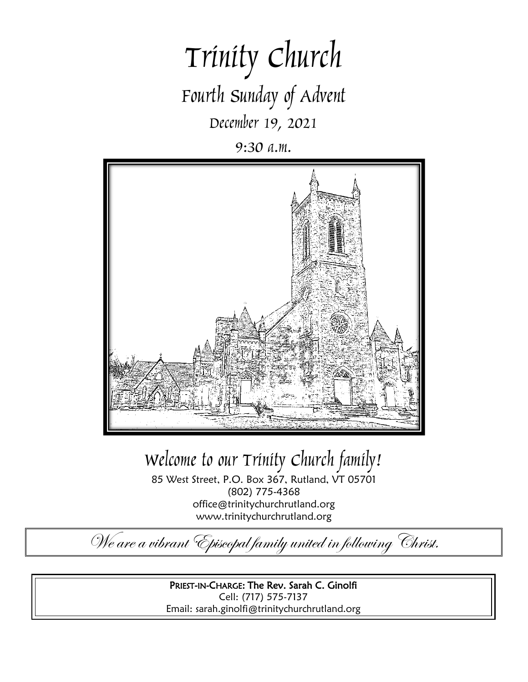# Trinity Church Fourth Sunday of Advent December 19, 2021

9:30 a.m.



Welcome to our Trinity Church family!

85 West Street, P.O. Box 367, Rutland, VT 05701 (802) 775-4368 office@trinitychurchrutland.org www.trinitychurchrutland.org

We are a vibrant Episcopal family united in following Christ.

PRIEST-IN-CHARGE: The Rev. Sarah C. Ginolfi Cell: (717) 575-7137 Email: sarah.ginolfi@trinitychurchrutland.org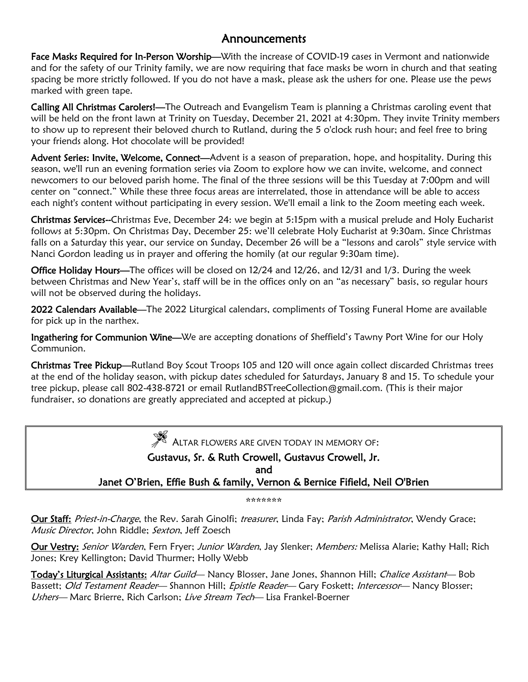### Announcements

Face Masks Required for In-Person Worship—With the increase of COVID-19 cases in Vermont and nationwide and for the safety of our Trinity family, we are now requiring that face masks be worn in church and that seating spacing be more strictly followed. If you do not have a mask, please ask the ushers for one. Please use the pews marked with green tape.

Calling All Christmas Carolers!—The Outreach and Evangelism Team is planning a Christmas caroling event that will be held on the front lawn at Trinity on Tuesday, December 21, 2021 at 4:30pm. They invite Trinity members to show up to represent their beloved church to Rutland, during the 5 o'clock rush hour; and feel free to bring your friends along. Hot chocolate will be provided!

Advent Series: Invite, Welcome, Connect—Advent is a season of preparation, hope, and hospitality. During this season, we'll run an evening formation series via Zoom to explore how we can invite, welcome, and connect newcomers to our beloved parish home. The final of the three sessions will be this Tuesday at 7:00pm and will center on "connect." While these three focus areas are interrelated, those in attendance will be able to access each night's content without participating in every session. We'll email a link to the Zoom meeting each week.

Christmas Services--Christmas Eve, December 24: we begin at 5:15pm with a musical prelude and Holy Eucharist follows at 5:30pm. On Christmas Day, December 25: we'll celebrate Holy Eucharist at 9:30am. Since Christmas falls on a Saturday this year, our service on Sunday, December 26 will be a "lessons and carols" style service with Nanci Gordon leading us in prayer and offering the homily (at our regular 9:30am time).

Office Holiday Hours—The offices will be closed on 12/24 and 12/26, and 12/31 and 1/3. During the week between Christmas and New Year's, staff will be in the offices only on an "as necessary" basis, so regular hours will not be observed during the holidays.

2022 Calendars Available—The 2022 Liturgical calendars, compliments of Tossing Funeral Home are available for pick up in the narthex.

Ingathering for Communion Wine—We are accepting donations of Sheffield's Tawny Port Wine for our Holy Communion.

Christmas Tree Pickup—Rutland Boy Scout Troops 105 and 120 will once again collect discarded Christmas trees at the end of the holiday season, with pickup dates scheduled for Saturdays, January 8 and 15. To schedule your tree pickup, please call 802-438-8721 or email RutlandBSTreeCollection@gmail.com. (This is their major fundraiser, so donations are greatly appreciated and accepted at pickup.)



Our Staff: Priest-in-Charge, the Rev. Sarah Ginolfi; treasurer, Linda Fay; Parish Administrator, Wendy Grace; Music Director, John Riddle: Sexton, Jeff Zoesch

Our Vestry: Senior Warden, Fern Fryer; Junior Warden, Jay Slenker; Members: Melissa Alarie; Kathy Hall; Rich Jones; Krey Kellington; David Thurmer; Holly Webb

Today's Liturgical Assistants: Altar Guild— Nancy Blosser, Jane Jones, Shannon Hill; Chalice Assistant— Bob Bassett; Old Testament Reader-Shannon Hill; Epistle Reader-Gary Foskett; Intercessor-Nancy Blosser; Ushers-Marc Brierre, Rich Carlson; Live Stream Tech-Lisa Frankel-Boerner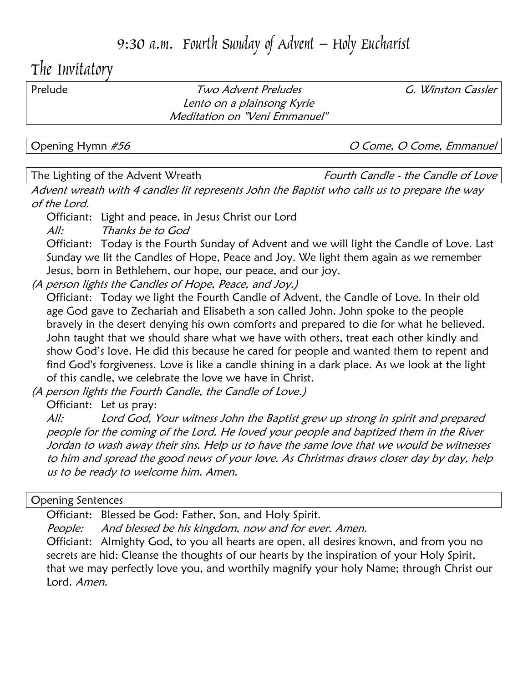9:30 a.m. Fourth Sunday of Advent – Holy Eucharist

The Invitatory

Prelude Two Advent Preludes G. Winston Cassler Lento on a plainsong Kyrie Meditation on "Veni Emmanuel"

Opening Hymn #56 Come, O Come, O Come, Emmanuel

The Lighting of the Advent Wreath **Fourth Candle - the Candle of Love** 

Advent wreath with 4 candles lit represents John the Baptist who calls us to prepare the way of the Lord.

Officiant: Light and peace, in Jesus Christ our Lord

All: Thanks be to God

Officiant: Today is the Fourth Sunday of Advent and we will light the Candle of Love. Last Sunday we lit the Candles of Hope, Peace and Joy. We light them again as we remember Jesus, born in Bethlehem, our hope, our peace, and our joy.

(A person lights the Candles of Hope, Peace, and Joy.)

Officiant: Today we light the Fourth Candle of Advent, the Candle of Love. In their old age God gave to Zechariah and Elisabeth a son called John. John spoke to the people bravely in the desert denying his own comforts and prepared to die for what he believed. John taught that we should share what we have with others, treat each other kindly and show God's love. He did this because he cared for people and wanted them to repent and find God's forgiveness. Love is like a candle shining in a dark place. As we look at the light of this candle, we celebrate the love we have in Christ.

(A person lights the Fourth Candle, the Candle of Love.)

Officiant: Let us pray:

All: Lord God, Your witness John the Baptist grew up strong in spirit and prepared people for the coming of the Lord. He loved your people and baptized them in the River Jordan to wash away their sins. Help us to have the same love that we would be witnesses to him and spread the good news of your love. As Christmas draws closer day by day, help us to be ready to welcome him. Amen.

### Opening Sentences

Officiant: Blessed be God: Father, Son, and Holy Spirit.

People: And blessed be his kingdom, now and for ever. Amen.

Officiant: Almighty God, to you all hearts are open, all desires known, and from you no secrets are hid: Cleanse the thoughts of our hearts by the inspiration of your Holy Spirit, that we may perfectly love you, and worthily magnify your holy Name; through Christ our Lord. Amen.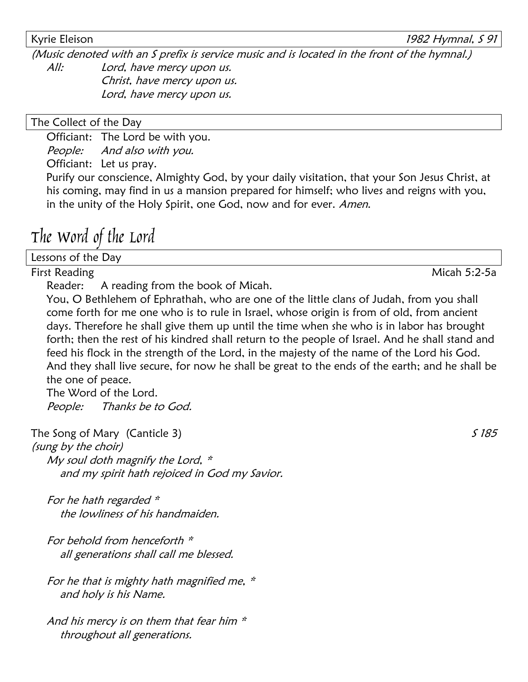#### Kyrie Eleison **1982 Hymnal, S 91**

(Music denoted with an S prefix is service music and is located in the front of the hymnal.) All: Lord, have mercy upon us. Christ, have mercy upon us. Lord, have mercy upon us.

#### The Collect of the Day

Officiant: The Lord be with you. People: And also with you.

Officiant: Let us pray.

Purify our conscience, Almighty God, by your daily visitation, that your Son Jesus Christ, at his coming, may find in us a mansion prepared for himself; who lives and reigns with you, in the unity of the Holy Spirit, one God, now and for ever. Amen.

# The Word of the Lord

Lessons of the Day

First Reading Micah 5:2-5a

Reader: A reading from the book of Micah.

You, O Bethlehem of Ephrathah, who are one of the little clans of Judah, from you shall come forth for me one who is to rule in Israel, whose origin is from of old, from ancient days. Therefore he shall give them up until the time when she who is in labor has brought forth; then the rest of his kindred shall return to the people of Israel. And he shall stand and feed his flock in the strength of the Lord, in the majesty of the name of the Lord his God. And they shall live secure, for now he shall be great to the ends of the earth; and he shall be the one of peace.

The Word of the Lord. People: Thanks be to God.

```
The Song of Mary (Canticle 3) S 185
```
(sung by the choir)

My soul doth magnify the Lord, \* and my spirit hath rejoiced in God my Savior.

For he hath regarded \* the lowliness of his handmaiden.

For behold from henceforth \* all generations shall call me blessed.

For he that is mighty hath magnified me, \* and holy is his Name.

And his mercy is on them that fear him  $*$ throughout all generations.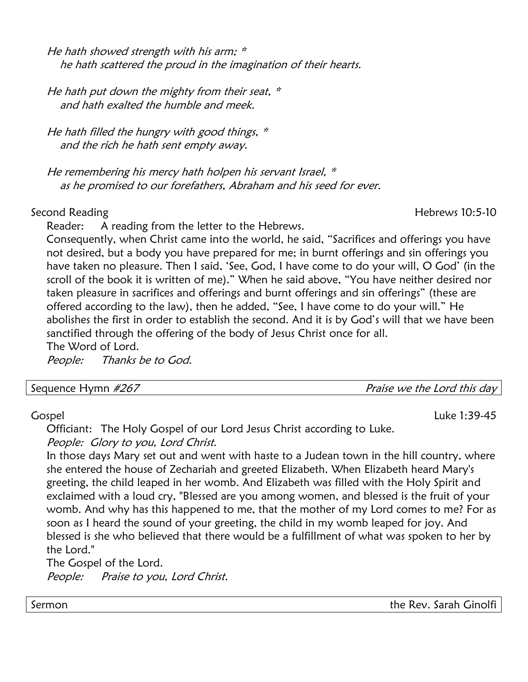He hath showed strength with his arm; \* he hath scattered the proud in the imagination of their hearts.

He hath put down the mighty from their seat, \* and hath exalted the humble and meek.

He hath filled the hungry with good things, \* and the rich he hath sent empty away.

He remembering his mercy hath holpen his servant Israel, \* as he promised to our forefathers, Abraham and his seed for ever.

Second Reading **Hebrews** 10:5-10

Reader: A reading from the letter to the Hebrews.

Consequently, when Christ came into the world, he said, "Sacrifices and offerings you have not desired, but a body you have prepared for me; in burnt offerings and sin offerings you have taken no pleasure. Then I said, 'See, God, I have come to do your will, O God' (in the scroll of the book it is written of me)." When he said above, "You have neither desired nor taken pleasure in sacrifices and offerings and burnt offerings and sin offerings" (these are offered according to the law), then he added, "See, I have come to do your will." He abolishes the first in order to establish the second. And it is by God's will that we have been sanctified through the offering of the body of Jesus Christ once for all.

The Word of Lord.

People: Thanks be to God.

| Sequence Hymn #267 | <i>Praise we the Lord this day</i> |
|--------------------|------------------------------------|
|                    |                                    |

Gospel Luke 1:39-45

Officiant: The Holy Gospel of our Lord Jesus Christ according to Luke. People: Glory to you, Lord Christ.

In those days Mary set out and went with haste to a Judean town in the hill country, where she entered the house of Zechariah and greeted Elizabeth. When Elizabeth heard Mary's greeting, the child leaped in her womb. And Elizabeth was filled with the Holy Spirit and exclaimed with a loud cry, "Blessed are you among women, and blessed is the fruit of your womb. And why has this happened to me, that the mother of my Lord comes to me? For as soon as I heard the sound of your greeting, the child in my womb leaped for joy. And blessed is she who believed that there would be a fulfillment of what was spoken to her by the Lord."

The Gospel of the Lord. People: Praise to you, Lord Christ.

Sermon the Rev. Sarah Ginolfi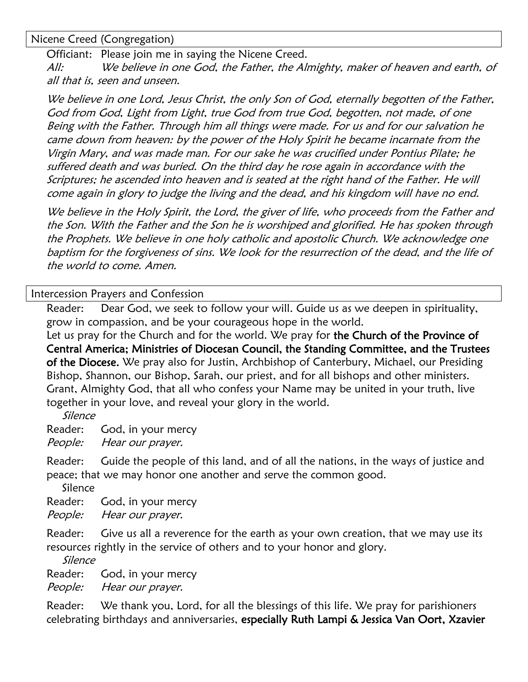Nicene Creed (Congregation)

Officiant: Please join me in saying the Nicene Creed.

All: We believe in one God, the Father, the Almighty, maker of heaven and earth, of all that is, seen and unseen.

We believe in one Lord, Jesus Christ, the only Son of God, eternally begotten of the Father, God from God, Light from Light, true God from true God, begotten, not made, of one Being with the Father. Through him all things were made. For us and for our salvation he came down from heaven: by the power of the Holy Spirit he became incarnate from the Virgin Mary, and was made man. For our sake he was crucified under Pontius Pilate; he suffered death and was buried. On the third day he rose again in accordance with the Scriptures; he ascended into heaven and is seated at the right hand of the Father. He will come again in glory to judge the living and the dead, and his kingdom will have no end.

We believe in the Holy Spirit, the Lord, the giver of life, who proceeds from the Father and the Son. With the Father and the Son he is worshiped and glorified. He has spoken through the Prophets. We believe in one holy catholic and apostolic Church. We acknowledge one baptism for the forgiveness of sins. We look for the resurrection of the dead, and the life of the world to come. Amen.

Intercession Prayers and Confession

Reader: Dear God, we seek to follow your will. Guide us as we deepen in spirituality, grow in compassion, and be your courageous hope in the world.

Let us pray for the Church and for the world. We pray for the Church of the Province of Central America; Ministries of Diocesan Council, the Standing Committee, and the Trustees of the Diocese. We pray also for Justin, Archbishop of Canterbury, Michael, our Presiding Bishop, Shannon, our Bishop, Sarah, our priest, and for all bishops and other ministers. Grant, Almighty God, that all who confess your Name may be united in your truth, live together in your love, and reveal your glory in the world.

Silence

Reader: God, in your mercy

People: Hear our prayer.

Reader: Guide the people of this land, and of all the nations, in the ways of justice and peace; that we may honor one another and serve the common good.

Silence

Reader: God, in your mercy

People: Hear our prayer.

Reader: Give us all a reverence for the earth as your own creation, that we may use its resources rightly in the service of others and to your honor and glory.

Silence

Reader: God, in your mercy

People: Hear our prayer.

Reader: We thank you, Lord, for all the blessings of this life. We pray for parishioners celebrating birthdays and anniversaries, especially Ruth Lampi & Jessica Van Oort, Xzavier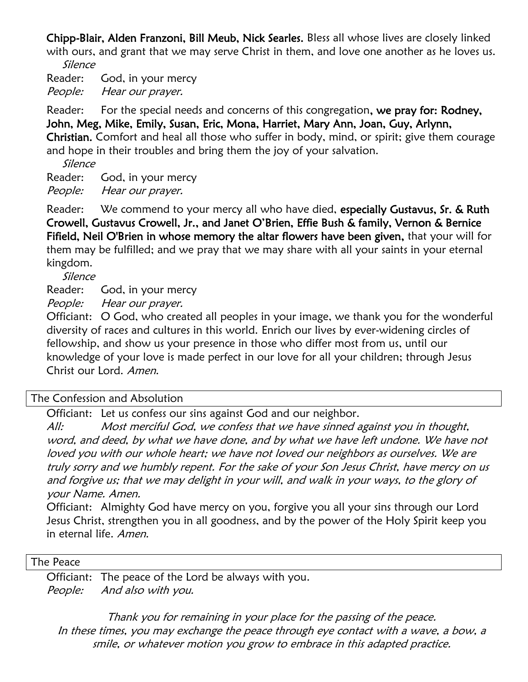Chipp-Blair, Alden Franzoni, Bill Meub, Nick Searles. Bless all whose lives are closely linked with ours, and grant that we may serve Christ in them, and love one another as he loves us.

Silence Reader: God, in your mercy

People: Hear our prayer.

Reader: For the special needs and concerns of this congregation, we pray for: Rodney, John, Meg, Mike, Emily, Susan, Eric, Mona, Harriet, Mary Ann, Joan, Guy, Arlynn, Christian. Comfort and heal all those who suffer in body, mind, or spirit; give them courage

and hope in their troubles and bring them the joy of your salvation.

Silence

Reader: God, in your mercy People: Hear our prayer.

Reader: We commend to your mercy all who have died, especially Gustavus, Sr. & Ruth Crowell, Gustavus Crowell, Jr., and Janet O'Brien, Effie Bush & family, Vernon & Bernice Fifield, Neil O'Brien in whose memory the altar flowers have been given, that your will for them may be fulfilled; and we pray that we may share with all your saints in your eternal kingdom.

Silence

Reader: God, in your mercy

People: Hear our prayer.

Officiant: O God, who created all peoples in your image, we thank you for the wonderful diversity of races and cultures in this world. Enrich our lives by ever-widening circles of fellowship, and show us your presence in those who differ most from us, until our knowledge of your love is made perfect in our love for all your children; through Jesus Christ our Lord. Amen.

### The Confession and Absolution

Officiant: Let us confess our sins against God and our neighbor.

All: Most merciful God, we confess that we have sinned against you in thought, word, and deed, by what we have done, and by what we have left undone. We have not loved you with our whole heart; we have not loved our neighbors as ourselves. We are truly sorry and we humbly repent. For the sake of your Son Jesus Christ, have mercy on us and forgive us; that we may delight in your will, and walk in your ways, to the glory of your Name. Amen.

Officiant: Almighty God have mercy on you, forgive you all your sins through our Lord Jesus Christ, strengthen you in all goodness, and by the power of the Holy Spirit keep you in eternal life. Amen.

#### The Peace

Officiant: The peace of the Lord be always with you. People: And also with you.

Thank you for remaining in your place for the passing of the peace. In these times, you may exchange the peace through eye contact with a wave, a bow, a smile, or whatever motion you grow to embrace in this adapted practice.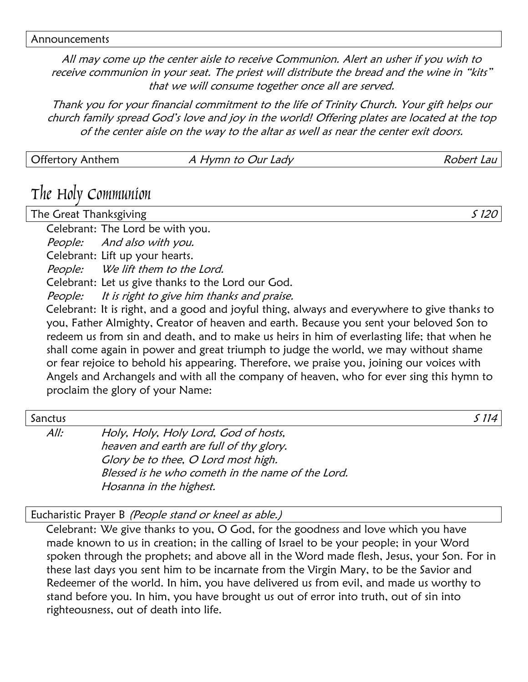All may come up the center aisle to receive Communion. Alert an usher if you wish to receive communion in your seat. The priest will distribute the bread and the wine in "kits" that we will consume together once all are served.

Thank you for your financial commitment to the life of Trinity Church. Your gift helps our church family spread God's love and joy in the world! Offering plates are located at the top of the center aisle on the way to the altar as well as near the center exit doors.

| Offertory Anthem<br>Hymn to Our Lady<br>Lau<br>"JDer" |
|-------------------------------------------------------|
|-------------------------------------------------------|

# The Holy Communion

The Great Thanksgiving Services of the Services of the Services of the Services of the Services of the Services

Celebrant: The Lord be with you.

People: And also with you.

Celebrant: Lift up your hearts.

People: We lift them to the Lord.

Celebrant: Let us give thanks to the Lord our God.

People: It is right to give him thanks and praise.

Celebrant: It is right, and a good and joyful thing, always and everywhere to give thanks to you, Father Almighty, Creator of heaven and earth. Because you sent your beloved Son to redeem us from sin and death, and to make us heirs in him of everlasting life; that when he shall come again in power and great triumph to judge the world, we may without shame or fear rejoice to behold his appearing. Therefore, we praise you, joining our voices with Angels and Archangels and with all the company of heaven, who for ever sing this hymn to proclaim the glory of your Name:

| Sanctus |                                                   | S 114 |
|---------|---------------------------------------------------|-------|
| All:    | Holy, Holy, Holy Lord, God of hosts,              |       |
|         | heaven and earth are full of thy glory.           |       |
|         | Glory be to thee, O Lord most high.               |       |
|         | Blessed is he who cometh in the name of the Lord. |       |
|         | Hosanna in the highest.                           |       |

Eucharistic Prayer B (People stand or kneel as able.)

Celebrant: We give thanks to you, O God, for the goodness and love which you have made known to us in creation; in the calling of Israel to be your people; in your Word spoken through the prophets; and above all in the Word made flesh, Jesus, your Son. For in these last days you sent him to be incarnate from the Virgin Mary, to be the Savior and Redeemer of the world. In him, you have delivered us from evil, and made us worthy to stand before you. In him, you have brought us out of error into truth, out of sin into righteousness, out of death into life.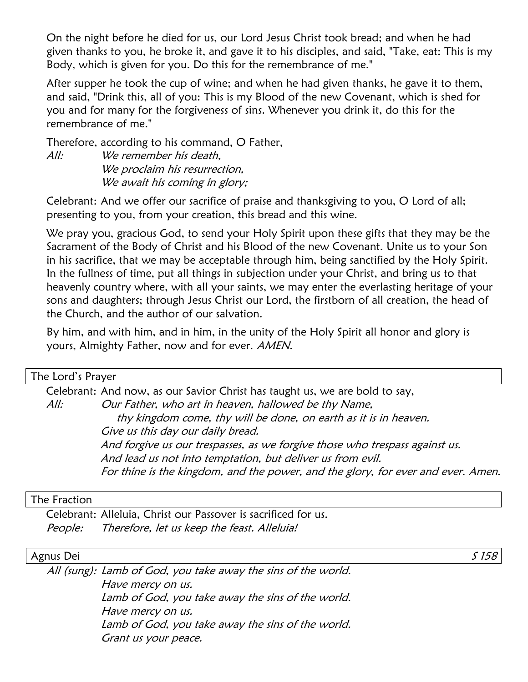On the night before he died for us, our Lord Jesus Christ took bread; and when he had given thanks to you, he broke it, and gave it to his disciples, and said, "Take, eat: This is my Body, which is given for you. Do this for the remembrance of me."

After supper he took the cup of wine; and when he had given thanks, he gave it to them, and said, "Drink this, all of you: This is my Blood of the new Covenant, which is shed for you and for many for the forgiveness of sins. Whenever you drink it, do this for the remembrance of me."

Therefore, according to his command, O Father,

All: We remember his death, We proclaim his resurrection, We await his coming in glory;

Celebrant: And we offer our sacrifice of praise and thanksgiving to you, O Lord of all; presenting to you, from your creation, this bread and this wine.

We pray you, gracious God, to send your Holy Spirit upon these gifts that they may be the Sacrament of the Body of Christ and his Blood of the new Covenant. Unite us to your Son in his sacrifice, that we may be acceptable through him, being sanctified by the Holy Spirit. In the fullness of time, put all things in subjection under your Christ, and bring us to that heavenly country where, with all your saints, we may enter the everlasting heritage of your sons and daughters; through Jesus Christ our Lord, the firstborn of all creation, the head of the Church, and the author of our salvation.

By him, and with him, and in him, in the unity of the Holy Spirit all honor and glory is yours, Almighty Father, now and for ever. AMEN.

|  | The Lord's Prayer |  |
|--|-------------------|--|
|--|-------------------|--|

|      | Celebrant: And now, as our Savior Christ has taught us, we are bold to say,      |
|------|----------------------------------------------------------------------------------|
| All: | Our Father, who art in heaven, hallowed be thy Name,                             |
|      | thy kingdom come, thy will be done, on earth as it is in heaven.                 |
|      | Give us this day our daily bread.                                                |
|      | And forgive us our trespasses, as we forgive those who trespass against us.      |
|      | And lead us not into temptation, but deliver us from evil.                       |
|      | For thine is the kingdom, and the power, and the glory, for ever and ever. Amen. |
|      |                                                                                  |

#### The Fraction

Celebrant: Alleluia, Christ our Passover is sacrificed for us. People: Therefore, let us keep the feast. Alleluia!

#### Agnus Dei Single State of the State of the State of the State of the State of the State of the State of the State of the State of the State of the State of the State of the State of the State of the State of the State of t

All (sung): Lamb of God, you take away the sins of the world. Have mercy on us. Lamb of God, you take away the sins of the world. Have mercy on us. Lamb of God, you take away the sins of the world. Grant us your peace.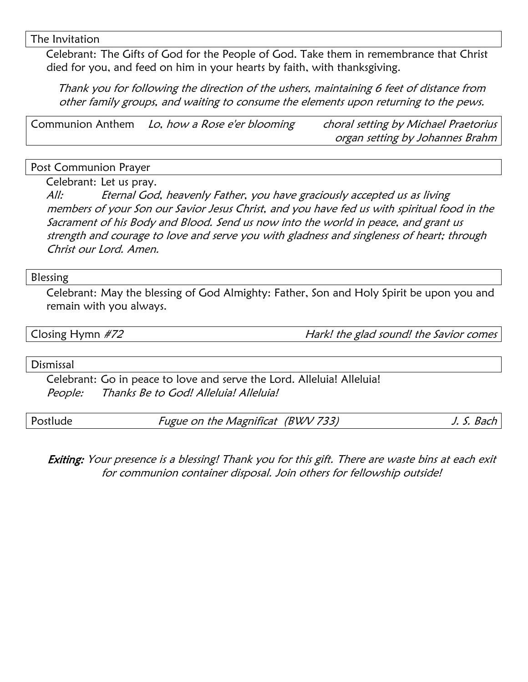#### The Invitation

Celebrant: The Gifts of God for the People of God. Take them in remembrance that Christ died for you, and feed on him in your hearts by faith, with thanksgiving.

Thank you for following the direction of the ushers, maintaining 6 feet of distance from other family groups, and waiting to consume the elements upon returning to the pews.

Communion Anthem Lo, how a Rose e'er blooming choral setting by Michael Praetorius organ setting by Johannes Brahm

#### Post Communion Prayer

Celebrant: Let us pray.

All: Eternal God, heavenly Father, you have graciously accepted us as living members of your Son our Savior Jesus Christ, and you have fed us with spiritual food in the Sacrament of his Body and Blood. Send us now into the world in peace, and grant us strength and courage to love and serve you with gladness and singleness of heart; through Christ our Lord. Amen.

#### Blessing

Celebrant: May the blessing of God Almighty: Father, Son and Holy Spirit be upon you and remain with you always.

Closing Hymn #72 **Hark!** the glad sound! the Savior comes

#### Dismissal

Celebrant: Go in peace to love and serve the Lord. Alleluia! Alleluia! People: Thanks Be to God! Alleluia! Alleluia!

Postlude **Fugue on the Magnificat (BWV 733)** J. S. Bach

Exiting: Your presence is a blessing! Thank you for this gift. There are waste bins at each exit for communion container disposal. Join others for fellowship outside!